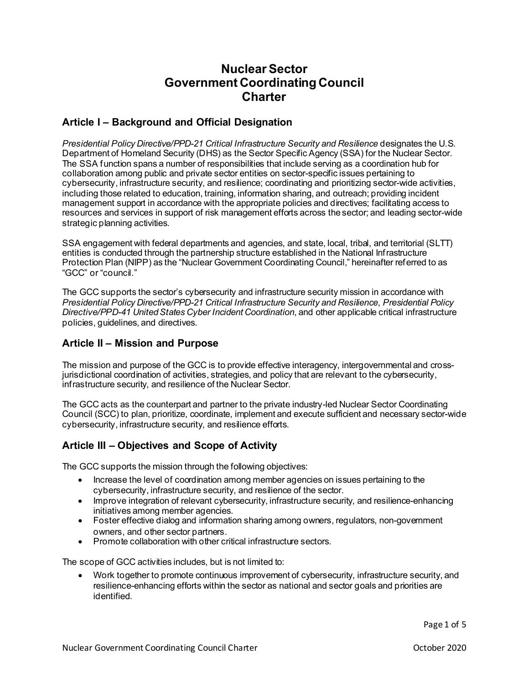# **Nuclear Sector Government Coordinating Council Charter**

# **Article I – Background and Official Designation**

 *Presidential Policy Directive/PPD-21 Critical Infrastructure Security and Resilience* designates the U.S. Department of Homeland Security (DHS) as the Sector Specific Agency (SSA) for the Nuclear Sector. The SSA function spans a number of responsibilities that include serving as a coordination hub for collaboration among public and private sector entities on sector-specific issues pertaining to cybersecurity, infrastructure security, and resilience; coordinating and prioritizing sector-wide activities, including those related to education, training, information sharing, and outreach; providing incident management support in accordance with the appropriate policies and directives; facilitating access to resources and services in support of risk management efforts across the sector; and leading sector-wide strategic planning activities.

SSA engagement with federal departments and agencies, and state, local, tribal, and territorial (SLTT) entities is conducted through the partnership structure established in the National Infrastructure Protection Plan (NIPP) as the "Nuclear Government Coordinating Council," hereinafter referred to as "GCC" or "council."

The GCC supports the sector's cybersecurity and infrastructure security mission in accordance with *Presidential Policy Directive/PPD-21 Critical Infrastructure Security and Resilience*, *Presidential Policy Directive/PPD-41 United States Cyber Incident Coordination*, and other applicable critical infrastructure policies, guidelines, and directives.

# **Article II – Mission and Purpose**

 infrastructure security, and resilience of the Nuclear Sector. The mission and purpose of the GCC is to provide effective interagency, intergovernmental and crossjurisdictional coordination of activities, strategies, and policy that are relevant to the cybersecurity,

 cybersecurity, infrastructure security, and resilience efforts. The GCC acts as the counterpart and partner to the private industry-led Nuclear Sector Coordinating Council (SCC) to plan, prioritize, coordinate, implement and execute sufficient and necessary sector-wide

# **Article III – Objectives and Scope of Activity**

The GCC supports the mission through the following objectives:

- Increase the level of coordination among member agencies on issues pertaining to the cybersecurity, infrastructure security, and resilience of the sector.
- Improve integration of relevant cybersecurity, infrastructure security, and resilience-enhancing initiatives among member agencies.
- Foster effective dialog and information sharing among owners, regulators, non-government owners, and other sector partners.
- Promote collaboration with other critical infrastructure sectors.

The scope of GCC activities includes, but is not limited to:

 identified. • Work together to promote continuous improvement of cybersecurity, infrastructure security, and resilience-enhancing efforts within the sector as national and sector goals and priorities are

Page 1 of 5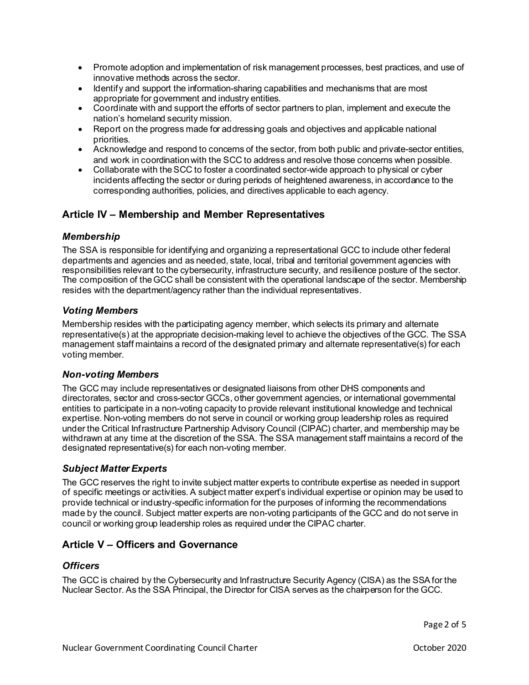- innovative methods across the sector. • Promote adoption and implementation of risk management processes, best practices, and use of
- Identify and support the information-sharing capabilities and mechanisms that are most appropriate for government and industry entities.
- Coordinate with and support the efforts of sector partners to plan, implement and execute the nation's homeland security mission.
- Report on the progress made for addressing goals and objectives and applicable national priorities.
- Acknowledge and respond to concerns of the sector, from both public and private-sector entities, and work in coordinationwith the SCC to address and resolve those concerns when possible.
- Collaborate with the SCC to foster a coordinated sector-wide approach to physical or cyber incidents affecting the sector or during periods of heightened awareness, in accordance to the corresponding authorities, policies, and directives applicable to each agency.

# **Article IV – Membership and Member Representatives**

#### *Membership*

 The SSA is responsible for identifying and organizing a representational GCC to include other federal resides with the department/agency rather than the individual representatives. departments and agencies and as needed, state, local, tribal and territorial government agencies with responsibilities relevant to the cybersecurity, infrastructure security, and resilience posture of the sector. The composition of the GCC shall be consistent with the operational landscape of the sector. Membership

#### *Voting Members*

Membership resides with the participating agency member, which selects its primary and alternate representative(s) at the appropriate decision-making level to achieve the objectives of the GCC. The SSA management staff maintains a record of the designated primary and alternate representative(s) for each voting member.

### *Non-voting Members*

 under the Critical Infrastructure Partnership Advisory Council (CIPAC) charter, and membership may be The GCC may include representatives or designated liaisons from other DHS components and directorates, sector and cross-sector GCCs, other government agencies, or international governmental entities to participate in a non-voting capacity to provide relevant institutional knowledge and technical expertise. Non-voting members do not serve in council or working group leadership roles as required withdrawn at any time at the discretion of the SSA. The SSA management staff maintains a record of the designated representative(s) for each non-voting member.

## *Subject Matter Experts*

 The GCC reserves the right to invite subject matter experts to contribute expertise as needed in support council or working group leadership roles as required under the CIPAC charter. of specific meetings or activities. A subject matter expert's individual expertise or opinion may be used to provide technical or industry-specific information for the purposes of informing the recommendations made by the council. Subject matter experts are non-voting participants of the GCC and do not serve in

## **Article V – Officers and Governance**

#### *Officers*

The GCC is chaired by the Cybersecurity and Infrastructure Security Agency (CISA) as the SSA for the Nuclear Sector. As the SSA Principal, the Director for CISA serves as the chairperson for the GCC.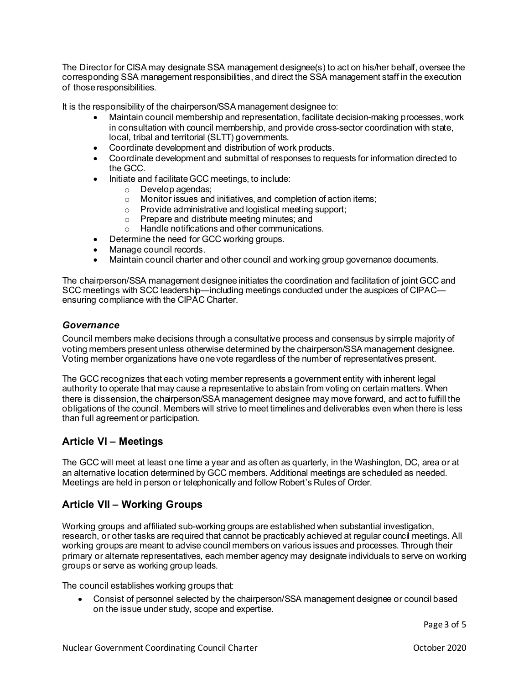of those responsibilities. The Director for CISA may designate SSA management designee(s) to act on his/her behalf, oversee the corresponding SSA management responsibilities, and direct the SSA management staff in the execution

of those responsibilities.<br>It is the responsibility of the chairperson/SSA management designee to:

- • Maintain council membership and representation, facilitate decision-making processes, work in consultation with council membership, and provide cross-sector coordination with state, local, tribal and territorial (SLTT) governments.
- Coordinate development and distribution of work products.
- • Coordinate development and submittal of responses to requests for information directed to the GCC.
- Initiate and facilitate GCC meetings, to include:
	- o Develop agendas;
	- o Monitor issues and initiatives, and completion of action items;
	- o Provide administrative and logistical meeting support;
	- o Prepare and distribute meeting minutes; and
	- o Handle notifications and other communications.
- Determine the need for GCC working groups.
- Manage council records.
- Maintain council charter and other council and working group governance documents.

 SCC meetings with SCC leadership—including meetings conducted under the auspices of CIPAC— The chairperson/SSA management designee initiates the coordination and facilitation of joint GCC and ensuring compliance with the CIPAC Charter.

#### *Governance*

 Council members make decisions through a consultative process and consensus by simple majority of voting members present unless otherwise determined by the chairperson/SSA management designee. Voting member organizations have one vote regardless of the number of representatives present.

 authority to operate that may cause a representative to abstain from voting on certain matters. When The GCC recognizes that each voting member represents a government entity with inherent legal there is dissension, the chairperson/SSA management designee may move forward, and act to fulfill the obligations of the council. Members will strive to meet timelines and deliverables even when there is less than full agreement or participation.

# **Article VI – Meetings**

 an alternative location determined by GCC members. Additional meetings are scheduled as needed. Meetings are held in person or telephonically and follow Robert's Rules of Order. The GCC will meet at least one time a year and as often as quarterly, in the Washington, DC, area or at

# **Article VII – Working Groups**

 groups or serve as working group leads. Working groups and affiliated sub-working groups are established when substantial investigation, research, or other tasks are required that cannot be practicably achieved at regular council meetings. All working groups are meant to advise council members on various issues and processes. Through their primary or alternate representatives, each member agency may designate individuals to serve on working

The council establishes working groups that:

 • Consist of personnel selected by the chairperson/SSA management designee or council based on the issue under study, scope and expertise.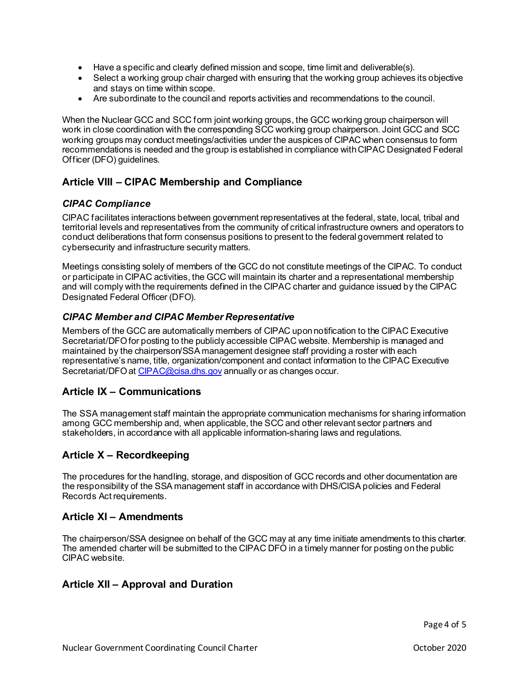- Have a specific and clearly defined mission and scope, time limit and deliverable(s).
- Select a working group chair charged with ensuring that the working group achieves its objective and stays on time within scope.
- Are subordinate to the council and reports activities and recommendations to the council.

 work in close coordination with the corresponding SCC working group chairperson. Joint GCC and SCC Officer (DFO) guidelines. When the Nuclear GCC and SCC form joint working groups, the GCC working group chairperson will working groups may conduct meetings/activities under the auspices of CIPAC when consensus to form recommendations is needed and the group is established in compliance with CIPAC Designated Federal

# **Article VIII – CIPAC Membership and Compliance**

#### *CIPAC Compliance*

CIPAC facilitates interactions between government representatives at the federal, state, local, tribal and territorial levels and representatives from the community of critical infrastructure owners and operators to conduct deliberations that form consensus positions to present to the federal government related to cybersecurity and infrastructure security matters.

Meetings consisting solely of members of the GCC do not constitute meetings of the CIPAC. To conduct or participate in CIPAC activities, the GCC will maintain its charter and a representational membership and will comply with the requirements defined in the CIPAC charter and guidance issued by the CIPAC Designated Federal Officer (DFO).

#### *CIPAC Member and CIPAC Member Representative*

 Members of the GCC are automatically members of CIPAC upon notification to the CIPAC Executive Secretariat/DFO for posting to the publicly accessible CIPAC website. Membership is managed and maintained by the chairperson/SSA management designee staff providing a roster with each representative's name, title, organization/component and contact information to the CIPAC Executive Secretariat/DFO at [CIPAC@cisa.dhs.gov](mailto:CIPAC@cisa.dhs.gov) annually or as changes occur.

# **Article IX – Communications**

The SSA management staff maintain the appropriate communication mechanisms for sharing information among GCC membership and, when applicable, the SCC and other relevant sector partners and stakeholders, in accordance with all applicable information-sharing laws and regulations.

# **Article X – Recordkeeping**

The procedures for the handling, storage, and disposition of GCC records and other documentation are the responsibility of the SSA management staff in accordance with DHS/CISA policies and Federal Records Act requirements.

## **Article XI – Amendments**

 CIPAC website. The chairperson/SSA designee on behalf of the GCC may at any time initiate amendments to this charter. The amended charter will be submitted to the CIPAC DFO in a timely manner for posting on the public

## **Article XII – Approval and Duration**